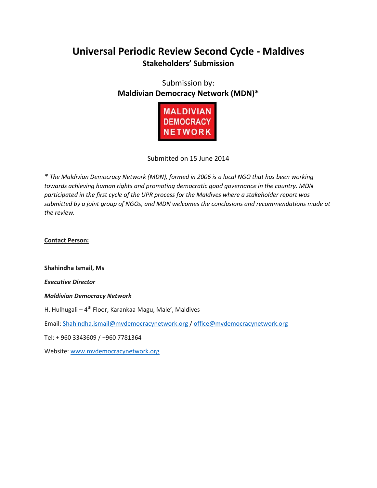# **Universal Periodic Review Second Cycle - Maldives Stakeholders' Submission**

Submission by: **Maldivian Democracy Network (MDN)\***



Submitted on 15 June 2014

*\* The Maldivian Democracy Network (MDN), formed in 2006 is a local NGO that has been working towards achieving human rights and promoting democratic good governance in the country. MDN participated in the first cycle of the UPR process for the Maldives where a stakeholder report was submitted by a joint group of NGOs, and MDN welcomes the conclusions and recommendations made at the review.* 

**Contact Person:** 

**Shahindha Ismail, Ms**

*Executive Director*

*Maldivian Democracy Network*

H. Hulhugali – 4<sup>th</sup> Floor, Karankaa Magu, Male', Maldives

Email: [Shahindha.ismail@mvdemocracynetwork.org](mailto:Shahindha.ismail@mvdemocracynetwork.org) [/ office@mvdemocracynetwork.org](mailto:office@mvdemocracynetwork.org)

Tel: + 960 3343609 / +960 7781364

Website[: www.mvdemocracynetwork.org](http://www.mvdemocracynetwork.org/)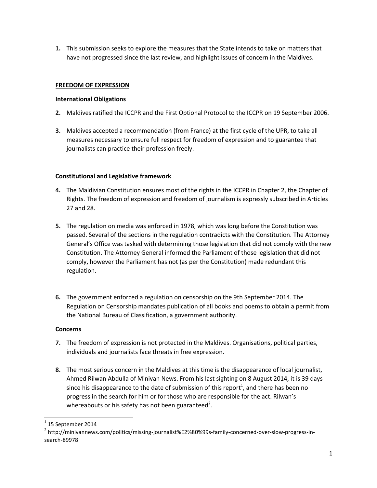**1.** This submission seeks to explore the measures that the State intends to take on matters that have not progressed since the last review, and highlight issues of concern in the Maldives.

# **FREEDOM OF EXPRESSION**

## **International Obligations**

- **2.** Maldives ratified the ICCPR and the First Optional Protocol to the ICCPR on 19 September 2006.
- **3.** Maldives accepted a recommendation (from France) at the first cycle of the UPR, to take all measures necessary to ensure full respect for freedom of expression and to guarantee that journalists can practice their profession freely.

# **Constitutional and Legislative framework**

- **4.** The Maldivian Constitution ensures most of the rights in the ICCPR in Chapter 2, the Chapter of Rights. The freedom of expression and freedom of journalism is expressly subscribed in Articles 27 and 28.
- **5.** The regulation on media was enforced in 1978, which was long before the Constitution was passed. Several of the sections in the regulation contradicts with the Constitution. The Attorney General's Office was tasked with determining those legislation that did not comply with the new Constitution. The Attorney General informed the Parliament of those legislation that did not comply, however the Parliament has not (as per the Constitution) made redundant this regulation.
- **6.** The government enforced a regulation on censorship on the 9th September 2014. The Regulation on Censorship mandates publication of all books and poems to obtain a permit from the National Bureau of Classification, a government authority.

#### **Concerns**

- **7.** The freedom of expression is not protected in the Maldives. Organisations, political parties, individuals and journalists face threats in free expression.
- **8.** The most serious concern in the Maldives at this time is the disappearance of local journalist, Ahmed Rilwan Abdulla of Minivan News. From his last sighting on 8 August 2014, it is 39 days since his disappearance to the date of submission of this report<sup>1</sup>, and there has been no progress in the search for him or for those who are responsible for the act. Rilwan's whereabouts or his safety has not been guaranteed<sup>2</sup>.

 $\overline{\phantom{a}}$ 

 $^1$  15 September 2014

<sup>2</sup> http://minivannews.com/politics/missing-journalist%E2%80%99s-family-concerned-over-slow-progress-insearch-89978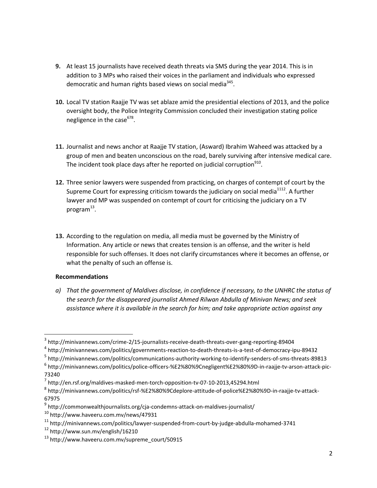- **9.** At least 15 journalists have received death threats via SMS during the year 2014. This is in addition to 3 MPs who raised their voices in the parliament and individuals who expressed democratic and human rights based views on social media<sup>345</sup>.
- **10.** Local TV station Raajje TV was set ablaze amid the presidential elections of 2013, and the police oversight body, the Police Integrity Commission concluded their investigation stating police negligence in the case<sup>678</sup>.
- **11.** Journalist and news anchor at Raajje TV station, (Asward) Ibrahim Waheed was attacked by a group of men and beaten unconscious on the road, barely surviving after intensive medical care. The incident took place days after he reported on judicial corruption<sup>910</sup>.
- **12.** Three senior lawyers were suspended from practicing, on charges of contempt of court by the Supreme Court for expressing criticism towards the judiciary on social media $1112$ . A further lawyer and MP was suspended on contempt of court for criticising the judiciary on a TV program $^{13}$ .
- **13.** According to the regulation on media, all media must be governed by the Ministry of Information. Any article or news that creates tension is an offense, and the writer is held responsible for such offenses. It does not clarify circumstances where it becomes an offense, or what the penalty of such an offense is.

#### **Recommendations**

l

*a) That the government of Maldives disclose, in confidence if necessary, to the UNHRC the status of the search for the disappeared journalist Ahmed Rilwan Abdulla of Minivan News; and seek assistance where it is available in the search for him; and take appropriate action against any* 

<sup>5</sup> http://minivannews.com/politics/communications-authority-working-to-identify-senders-of-sms-threats-89813

- <sup>9</sup> http://commonwealthjournalists.org/cja-condemns-attack-on-maldives-journalist/
- <sup>10</sup> http://www.haveeru.com.mv/news/47931

 $^3$  http://minivannews.com/crime-2/15-journalists-receive-death-threats-over-gang-reporting-89404

<sup>4</sup> http://minivannews.com/politics/governments-reaction-to-death-threats-is-a-test-of-democracy-ipu-89432

<sup>&</sup>lt;sup>6</sup> http://minivannews.com/politics/police-officers-%E2%80%9Cnegligent%E2%80%9D-in-raajje-tv-arson-attack-pic-73240

 $^7$  http://en.rsf.org/maldives-masked-men-torch-opposition-tv-07-10-2013,45294.html

<sup>&</sup>lt;sup>8</sup> http://minivannews.com/politics/rsf-%E2%80%9Cdeplore-attitude-of-police%E2%80%9D-in-raajje-tv-attack-67975

<sup>11</sup> http://minivannews.com/politics/lawyer-suspended-from-court-by-judge-abdulla-mohamed-3741

<sup>12</sup> http://www.sun.mv/english/16210

<sup>13</sup> http://www.haveeru.com.mv/supreme\_court/50915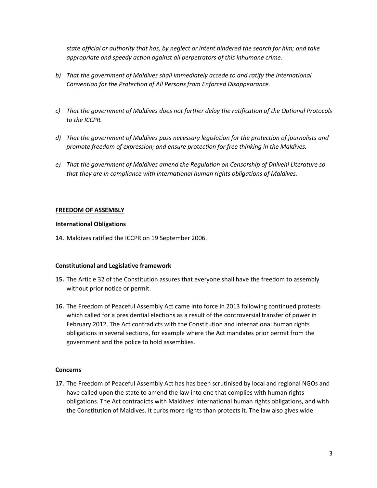*state official or authority that has, by neglect or intent hindered the search for him; and take appropriate and speedy action against all perpetrators of this inhumane crime.*

- *b) That the government of Maldives shall immediately accede to and ratify the International Convention for the Protection of All Persons from Enforced Disappearance.*
- *c) That the government of Maldives does not further delay the ratification of the Optional Protocols to the ICCPR.*
- *d) That the government of Maldives pass necessary legislation for the protection of journalists and promote freedom of expression; and ensure protection for free thinking in the Maldives.*
- *e) That the government of Maldives amend the Regulation on Censorship of Dhivehi Literature so that they are in compliance with international human rights obligations of Maldives.*

#### **FREEDOM OF ASSEMBLY**

#### **International Obligations**

**14.** Maldives ratified the ICCPR on 19 September 2006.

## **Constitutional and Legislative framework**

- **15.** The Article 32 of the Constitution assures that everyone shall have the freedom to assembly without prior notice or permit.
- **16.** The Freedom of Peaceful Assembly Act came into force in 2013 following continued protests which called for a presidential elections as a result of the controversial transfer of power in February 2012. The Act contradicts with the Constitution and international human rights obligations in several sections, for example where the Act mandates prior permit from the government and the police to hold assemblies.

#### **Concerns**

**17.** The Freedom of Peaceful Assembly Act has has been scrutinised by local and regional NGOs and have called upon the state to amend the law into one that complies with human rights obligations. The Act contradicts with Maldives' international human rights obligations, and with the Constitution of Maldives. It curbs more rights than protects it. The law also gives wide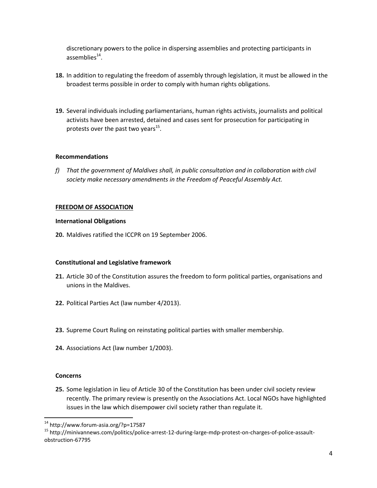discretionary powers to the police in dispersing assemblies and protecting participants in assemblies $^{14}$ .

- **18.** In addition to regulating the freedom of assembly through legislation, it must be allowed in the broadest terms possible in order to comply with human rights obligations.
- **19.** Several individuals including parliamentarians, human rights activists, journalists and political activists have been arrested, detained and cases sent for prosecution for participating in protests over the past two years<sup>15</sup>.

#### **Recommendations**

*f) That the government of Maldives shall, in public consultation and in collaboration with civil society make necessary amendments in the Freedom of Peaceful Assembly Act.*

# **FREEDOM OF ASSOCIATION**

#### **International Obligations**

**20.** Maldives ratified the ICCPR on 19 September 2006.

# **Constitutional and Legislative framework**

- **21.** Article 30 of the Constitution assures the freedom to form political parties, organisations and unions in the Maldives.
- **22.** Political Parties Act (law number 4/2013).
- **23.** Supreme Court Ruling on reinstating political parties with smaller membership.
- **24.** Associations Act (law number 1/2003).

#### **Concerns**

 $\overline{\phantom{a}}$ 

**25.** Some legislation in lieu of Article 30 of the Constitution has been under civil society review recently. The primary review is presently on the Associations Act. Local NGOs have highlighted issues in the law which disempower civil society rather than regulate it.

<sup>&</sup>lt;sup>14</sup> http://www.forum-asia.org/?p=17587

<sup>15</sup> http://minivannews.com/politics/police-arrest-12-during-large-mdp-protest-on-charges-of-police-assaultobstruction-67795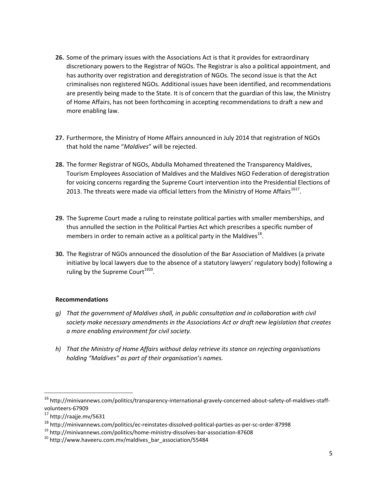- **26.** Some of the primary issues with the Associations Act is that it provides for extraordinary discretionary powers to the Registrar of NGOs. The Registrar is also a political appointment, and has authority over registration and deregistration of NGOs. The second issue is that the Act criminalises non registered NGOs. Additional issues have been identified, and recommendations are presently being made to the State. It is of concern that the guardian of this law, the Ministry of Home Affairs, has not been forthcoming in accepting recommendations to draft a new and more enabling law.
- **27.** Furthermore, the Ministry of Home Affairs announced in July 2014 that registration of NGOs that hold the name "*Maldives*" will be rejected.
- **28.** The former Registrar of NGOs, Abdulla Mohamed threatened the Transparency Maldives, Tourism Employees Association of Maldives and the Maldives NGO Federation of deregistration for voicing concerns regarding the Supreme Court intervention into the Presidential Elections of 2013. The threats were made via official letters from the Ministry of Home Affairs<sup>1617</sup>.
- **29.** The Supreme Court made a ruling to reinstate political parties with smaller memberships, and thus annulled the section in the Political Parties Act which prescribes a specific number of members in order to remain active as a political party in the Maldives<sup>18</sup>.
- **30.** The Registrar of NGOs announced the dissolution of the Bar Association of Maldives (a private initiative by local lawyers due to the absence of a statutory lawyers' regulatory body) following a ruling by the Supreme Court<sup>1920</sup>.

# **Recommendations**

- *g) That the government of Maldives shall, in public consultation and in collaboration with civil society make necessary amendments in the Associations Act or draft new legislation that creates a more enabling environment for civil society.*
- *h) That the Ministry of Home Affairs without delay retrieve its stance on rejecting organisations holding "Maldives" as part of their organisation's names.*

 $\overline{a}$ 

<sup>16</sup> http://minivannews.com/politics/transparency-international-gravely-concerned-about-safety-of-maldives-staffvolunteers-67909

<sup>17</sup> http://raajje.mv/5631

<sup>18</sup> http://minivannews.com/politics/ec-reinstates-dissolved-political-parties-as-per-sc-order-87998

<sup>19</sup> http://minivannews.com/politics/home-ministry-dissolves-bar-association-87608

<sup>20</sup> http://www.haveeru.com.mv/maldives\_bar\_association/55484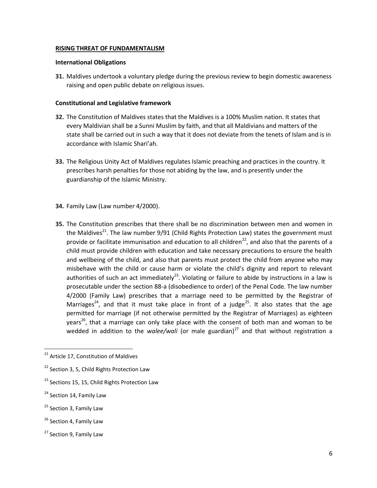#### **RISING THREAT OF FUNDAMENTALISM**

#### **International Obligations**

**31.** Maldives undertook a voluntary pledge during the previous review to begin domestic awareness raising and open public debate on religious issues.

#### **Constitutional and Legislative framework**

- **32.** The Constitution of Maldives states that the Maldives is a 100% Muslim nation. It states that every Maldivian shall be a Sunni Muslim by faith, and that all Maldivians and matters of the state shall be carried out in such a way that it does not deviate from the tenets of Islam and is in accordance with Islamic Shari'ah.
- **33.** The Religious Unity Act of Maldives regulates Islamic preaching and practices in the country. It prescribes harsh penalties for those not abiding by the law, and is presently under the guardianship of the Islamic Ministry.
- **34.** Family Law (Law number 4/2000).
- **35.** The Constitution prescribes that there shall be no discrimination between men and women in the Maldives<sup>21</sup>. The law number 9/91 (Child Rights Protection Law) states the government must provide or facilitate immunisation and education to all children<sup>22</sup>, and also that the parents of a child must provide children with education and take necessary precautions to ensure the health and wellbeing of the child, and also that parents must protect the child from anyone who may misbehave with the child or cause harm or violate the child's dignity and report to relevant authorities of such an act immediately<sup>23</sup>. Violating or failure to abide by instructions in a law is prosecutable under the section 88-a (disobedience to order) of the Penal Code. The law number 4/2000 (Family Law) prescribes that a marriage need to be permitted by the Registrar of Marriages<sup>24</sup>, and that it must take place in front of a judge<sup>25</sup>. It also states that the age permitted for marriage (if not otherwise permitted by the Registrar of Marriages) as eighteen years<sup>26</sup>, that a marriage can only take place with the consent of both man and woman to be wedded in addition to the *walee/wali* (or male guardian)<sup>27</sup> and that without registration a

 $\overline{a}$ 

<sup>&</sup>lt;sup>21</sup> Article 17, Constitution of Maldives

 $22$  Section 3, 5, Child Rights Protection Law

<sup>&</sup>lt;sup>23</sup> Sections 15, 15, Child Rights Protection Law

<sup>&</sup>lt;sup>24</sup> Section 14, Family Law

<sup>&</sup>lt;sup>25</sup> Section 3, Family Law

<sup>&</sup>lt;sup>26</sup> Section 4, Family Law

<sup>&</sup>lt;sup>27</sup> Section 9, Family Law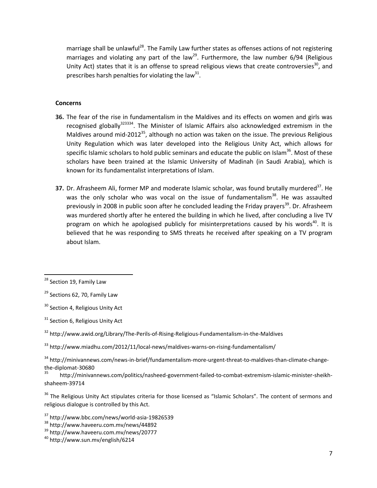marriage shall be unlawful<sup>28</sup>. The Family Law further states as offenses actions of not registering marriages and violating any part of the law<sup>29</sup>. Furthermore, the law number  $6/94$  (Religious Unity Act) states that it is an offense to spread religious views that create controversies<sup>30</sup>, and prescribes harsh penalties for violating the law<sup>31</sup>.

# **Concerns**

- **36.** The fear of the rise in fundamentalism in the Maldives and its effects on women and girls was recognised globally<sup>323334</sup>. The Minister of Islamic Affairs also acknowledged extremism in the Maldives around mid-2012<sup>35</sup>, although no action was taken on the issue. The previous Religious Unity Regulation which was later developed into the Religious Unity Act, which allows for specific Islamic scholars to hold public seminars and educate the public on Islam<sup>36</sup>. Most of these scholars have been trained at the Islamic University of Madinah (in Saudi Arabia), which is known for its fundamentalist interpretations of Islam.
- 37. Dr. Afrasheem Ali, former MP and moderate Islamic scholar, was found brutally murdered<sup>37</sup>. He was the only scholar who was vocal on the issue of fundamentalism<sup>38</sup>. He was assaulted previously in 2008 in public soon after he concluded leading the Friday prayers<sup>39</sup>. Dr. Afrasheem was murdered shortly after he entered the building in which he lived, after concluding a live TV program on which he apologised publicly for misinterpretations caused by his words $40$ . It is believed that he was responding to SMS threats he received after speaking on a TV program about Islam.

 $\overline{a}$ 

<sup>37</sup> http://www.bbc.com/news/world-asia-19826539

<sup>39</sup> http://www.haveeru.com.mv/news/20777

<sup>&</sup>lt;sup>28</sup> Section 19, Family Law

 $29$  Sections 62, 70, Family Law

<sup>&</sup>lt;sup>30</sup> Section 4, Religious Unity Act

<sup>&</sup>lt;sup>31</sup> Section 6, Religious Unity Act

<sup>32</sup> http://www.awid.org/Library/The-Perils-of-Rising-Religious-Fundamentalism-in-the-Maldives

<sup>33</sup> http://www.miadhu.com/2012/11/local-news/maldives-warns-on-rising-fundamentalism/

<sup>34</sup> http://minivannews.com/news-in-brief/fundamentalism-more-urgent-threat-to-maldives-than-climate-changethe-diplomat-30680

<sup>35</sup> http://minivannews.com/politics/nasheed-government-failed-to-combat-extremism-islamic-minister-sheikhshaheem-39714

<sup>&</sup>lt;sup>36</sup> The Religious Unity Act stipulates criteria for those licensed as "Islamic Scholars". The content of sermons and religious dialogue is controlled by this Act.

<sup>38</sup> http://www.haveeru.com.mv/news/44892

<sup>40</sup> http://www.sun.mv/english/6214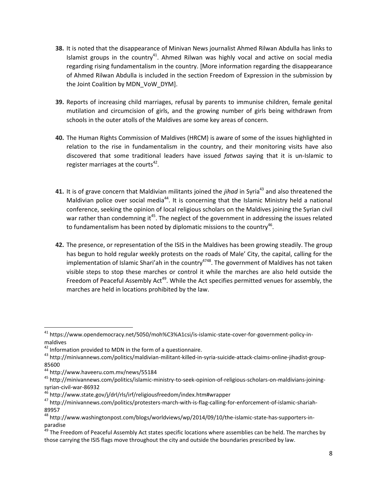- **38.** It is noted that the disappearance of Minivan News journalist Ahmed Rilwan Abdulla has links to Islamist groups in the country<sup>41</sup>. Ahmed Rilwan was highly vocal and active on social media regarding rising fundamentalism in the country. [More information regarding the disappearance of Ahmed Rilwan Abdulla is included in the section Freedom of Expression in the submission by the Joint Coalition by MDN\_VoW\_DYM].
- **39.** Reports of increasing child marriages, refusal by parents to immunise children, female genital mutilation and circumcision of girls, and the growing number of girls being withdrawn from schools in the outer atolls of the Maldives are some key areas of concern.
- **40.** The Human Rights Commission of Maldives (HRCM) is aware of some of the issues highlighted in relation to the rise in fundamentalism in the country, and their monitoring visits have also discovered that some traditional leaders have issued *fatwas* saying that it is un-Islamic to register marriages at the courts<sup>42</sup>.
- **41.** It is of grave concern that Maldivian militants joined the *jihad* in Syria<sup>43</sup> and also threatened the Maldivian police over social media<sup>44</sup>. It is concerning that the Islamic Ministry held a national conference, seeking the opinion of local religious scholars on the Maldives joining the Syrian civil war rather than condemning it<sup>45</sup>. The neglect of the government in addressing the issues related to fundamentalism has been noted by diplomatic missions to the country<sup>46</sup>.
- **42.** The presence, or representation of the ISIS in the Maldives has been growing steadily. The group has begun to hold regular weekly protests on the roads of Male' City, the capital, calling for the implementation of Islamic Shari'ah in the country<sup>4748</sup>. The government of Maldives has not taken visible steps to stop these marches or control it while the marches are also held outside the Freedom of Peaceful Assembly Act<sup>49</sup>. While the Act specifies permitted venues for assembly, the marches are held in locations prohibited by the law.

 $42$  Information provided to MDN in the form of a questionnaire.

 $\overline{\phantom{a}}$ 

<sup>&</sup>lt;sup>41</sup> https://www.opendemocracy.net/5050/moh%C3%A1csi/is-islamic-state-cover-for-government-policy-inmaldives

<sup>43</sup> http://minivannews.com/politics/maldivian-militant-killed-in-syria-suicide-attack-claims-online-jihadist-group-85600

<sup>44</sup> http://www.haveeru.com.mv/news/55184

<sup>45</sup> http://minivannews.com/politics/islamic-ministry-to-seek-opinion-of-religious-scholars-on-maldivians-joiningsyrian-civil-war-86932

<sup>46</sup> http://www.state.gov/j/drl/rls/irf/religiousfreedom/index.htm#wrapper

<sup>47</sup> http://minivannews.com/politics/protesters-march-with-is-flag-calling-for-enforcement-of-islamic-shariah-89957

<sup>48</sup> http://www.washingtonpost.com/blogs/worldviews/wp/2014/09/10/the-islamic-state-has-supporters-inparadise

<sup>&</sup>lt;sup>49</sup> The Freedom of Peaceful Assembly Act states specific locations where assemblies can be held. The marches by those carrying the ISIS flags move throughout the city and outside the boundaries prescribed by law.